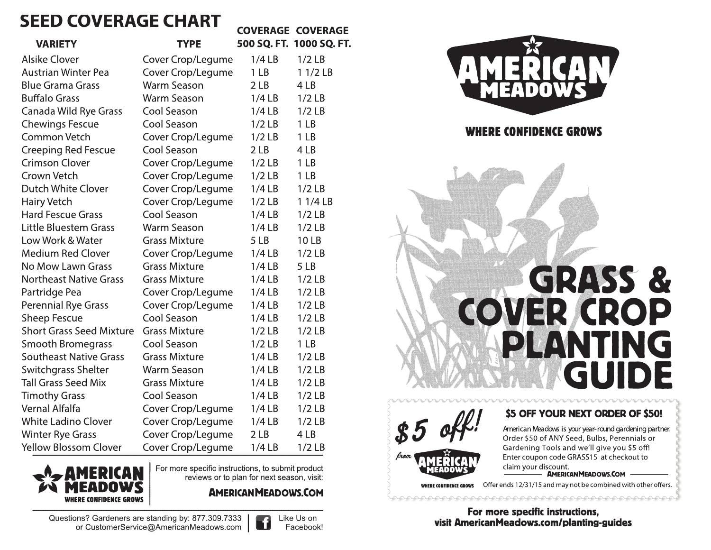# **SEED COVERAGE CHART**

|                                 |                      |                 | <b>COVERAGE COVERAGE</b> |
|---------------------------------|----------------------|-----------------|--------------------------|
| <b>VARIETY</b>                  | <b>TYPE</b>          |                 | 500 SQ. FT. 1000 SQ. FT  |
| <b>Alsike Clover</b>            | Cover Crop/Legume    | 1/4LB           | $1/2$ LB                 |
| <b>Austrian Winter Pea</b>      | Cover Crop/Legume    | 1 <sub>LB</sub> | $11/2$ LB                |
| <b>Blue Grama Grass</b>         | <b>Warm Season</b>   | 2LB             | 4LB                      |
| <b>Buffalo Grass</b>            | <b>Warm Season</b>   | $1/4$ LB        | $1/2$ LB                 |
| Canada Wild Rye Grass           | Cool Season          | 1/4LB           | $1/2$ LB                 |
| <b>Chewings Fescue</b>          | Cool Season          | $1/2$ LB        | 1 <sub>LB</sub>          |
| <b>Common Vetch</b>             | Cover Crop/Legume    | $1/2$ LB        | 1 <sub>LB</sub>          |
| <b>Creeping Red Fescue</b>      | Cool Season          | 2LB             | 4LB                      |
| <b>Crimson Clover</b>           | Cover Crop/Legume    | $1/2$ LB        | 1 <sub>LB</sub>          |
| Crown Vetch                     | Cover Crop/Legume    | $1/2$ LB        | 1LB                      |
| <b>Dutch White Clover</b>       | Cover Crop/Legume    | $1/4$ LB        | $1/2$ LB                 |
| <b>Hairy Vetch</b>              | Cover Crop/Legume    | $1/2$ LB        | 1 1/4 LB                 |
| <b>Hard Fescue Grass</b>        | <b>Cool Season</b>   | 1/4LB           | $1/2$ LB                 |
| Little Bluestem Grass           | <b>Warm Season</b>   | $1/4$ LB        | $1/2$ LB                 |
| Low Work & Water                | <b>Grass Mixture</b> | 5 LB            | 10LB                     |
| <b>Medium Red Clover</b>        | Cover Crop/Legume    | $1/4$ LB        | $1/2$ LB                 |
| No Mow Lawn Grass               | <b>Grass Mixture</b> | $1/4$ LB        | 5 LB                     |
| <b>Northeast Native Grass</b>   | <b>Grass Mixture</b> | $1/4$ LB        | $1/2$ LB                 |
| Partridge Pea                   | Cover Crop/Legume    | $1/4$ LB        | $1/2$ LB                 |
| <b>Perennial Rye Grass</b>      | Cover Crop/Legume    | 1/4LB           | $1/2$ LB                 |
| <b>Sheep Fescue</b>             | Cool Season          | $1/4$ LB        | $1/2$ LB                 |
| <b>Short Grass Seed Mixture</b> | <b>Grass Mixture</b> | $1/2$ LB        | $1/2$ LB                 |
| <b>Smooth Bromegrass</b>        | <b>Cool Season</b>   | $1/2$ LB        | 1 <sub>LB</sub>          |
| <b>Southeast Native Grass</b>   | <b>Grass Mixture</b> | $1/4$ LB        | $1/2$ LB                 |
| Switchgrass Shelter             | <b>Warm Season</b>   | $1/4$ LB        | $1/2$ LB                 |
| <b>Tall Grass Seed Mix</b>      | <b>Grass Mixture</b> | 1/4LB           | $1/2$ LB                 |
| <b>Timothy Grass</b>            | Cool Season          | $1/4$ LB        | $1/2$ LB                 |
| Vernal Alfalfa                  | Cover Crop/Legume    | $1/4$ LB        | $1/2$ LB                 |
| <b>White Ladino Clover</b>      | Cover Crop/Legume    | $1/4$ LB        | $1/2$ LB                 |
| <b>Winter Rye Grass</b>         | Cover Crop/Legume    | 2 <sub>LB</sub> | 4 LB                     |
| <b>Yellow Blossom Clover</b>    | Cover Crop/Legume    | $1/4$ LB        | $1/2$ LB                 |



## **WHERE CONFIDENCE GROWS**





### \$5 OFF YOUR NEXT ORDER OF \$50!

American Meadows is your year-round gardening partner. Order \$50 of ANY Seed, Bulbs, Perennials or Gardening Tools and we'll give you \$5 off! Enter coupon code GRASS15 at checkout to claim your discount.<br> **AMERICANMEADOWS.COM** 

Offer ends 12/31/15 and may not be combined with other offers. **WHERE CONFIDENCE GROWS** 

<u>MAAAAAAAAAAAAAAAAAA</u>G

For more specific instructions, visit AmericanMeadows.com/planting-guides



For more specific instructions, to submit product reviews or to plan for next season, visit:

**AMERICAN MEADOWS.COM** 

Questions? Gardeners are standing by: 877.309.7333 or CustomerService@AmericanMeadows.com